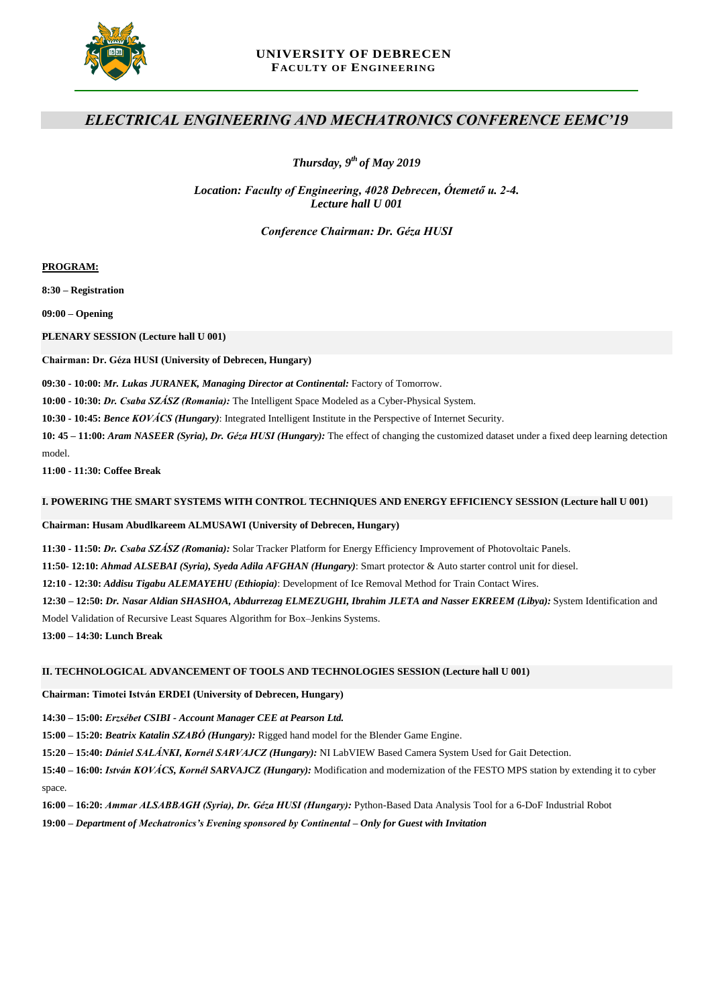

## **UNIVERSITY OF DEBRECEN FACULTY OF ENGINEERING**

# *ELECTRICAL ENGINEERING AND MECHATRONICS CONFERENCE EEMC'19*

*Thursday, 9 th of May 2019*

*Location: Faculty of Engineering, 4028 Debrecen, Ótemető u. 2-4. Lecture hall U 001*

*Conference Chairman: Dr. Géza HUSI*

**PROGRAM:**

**8:30 – Registration** 

**09:00 – Opening**

**PLENARY SESSION (Lecture hall U 001)**

**Chairman: Dr. Géza HUSI (University of Debrecen, Hungary)**

**09:30 - 10:00:** *Mr. Lukas JURANEK, Managing Director at Continental:* Factory of Tomorrow.

**10:00 - 10:30:** *Dr. Csaba SZÁSZ (Romania):* The Intelligent Space Modeled as a Cyber-Physical System.

**10:30 - 10:45:** *Bence KOVÁCS (Hungary)*: Integrated Intelligent Institute in the Perspective of Internet Security.

**10: 45 – 11:00:** *Aram NASEER (Syria), Dr. Géza HUSI (Hungary):* The effect of changing the customized dataset under a fixed deep learning detection model.

**11:00 - 11:30: Coffee Break**

## **I. POWERING THE SMART SYSTEMS WITH CONTROL TECHNIQUES AND ENERGY EFFICIENCY SESSION (Lecture hall U 001)**

## **Chairman: Husam Abudlkareem ALMUSAWI (University of Debrecen, Hungary)**

**11:30 - 11:50:** *Dr. Csaba SZÁSZ (Romania):* Solar Tracker Platform for Energy Efficiency Improvement of Photovoltaic Panels.

**11:50- 12:10:** *Ahmad ALSEBAI (Syria), Syeda Adila AFGHAN (Hungary)*: Smart protector & Auto starter control unit for diesel.

**12:10 - 12:30:** *Addisu Tigabu ALEMAYEHU (Ethiopia)*: Development of Ice Removal Method for Train Contact Wires.

**12:30 – 12:50:** *Dr. Nasar Aldian SHASHOA, Abdurrezag ELMEZUGHI, Ibrahim JLETA and Nasser EKREEM (Libya):* System Identification and

Model Validation of Recursive Least Squares Algorithm for Box–Jenkins Systems.

**13:00 – 14:30: Lunch Break**

## **II. TECHNOLOGICAL ADVANCEMENT OF TOOLS AND TECHNOLOGIES SESSION (Lecture hall U 001)**

**Chairman: Timotei István ERDEI (University of Debrecen, Hungary)**

**14:30 – 15:00:** *Erzsébet CSIBI - Account Manager CEE at Pearson Ltd.*

**15:00 – 15:20:** *Beatrix Katalin SZABÓ (Hungary):* Rigged hand model for the Blender Game Engine.

**15:20 – 15:40:** *Dániel SALÁNKI, Kornél SARVAJCZ (Hungary):* NI LabVIEW Based Camera System Used for Gait Detection.

**15:40 – 16:00:** *István KOVÁCS, Kornél SARVAJCZ (Hungary):* Modification and modernization of the FESTO MPS station by extending it to cyber space.

**16:00 – 16:20:** *Ammar ALSABBAGH (Syria), Dr. Géza HUSI (Hungary):* Python-Based Data Analysis Tool for a 6-DoF Industrial Robot

**19:00 –** *Department of Mechatronics's Evening sponsored by Continental – Only for Guest with Invitation*